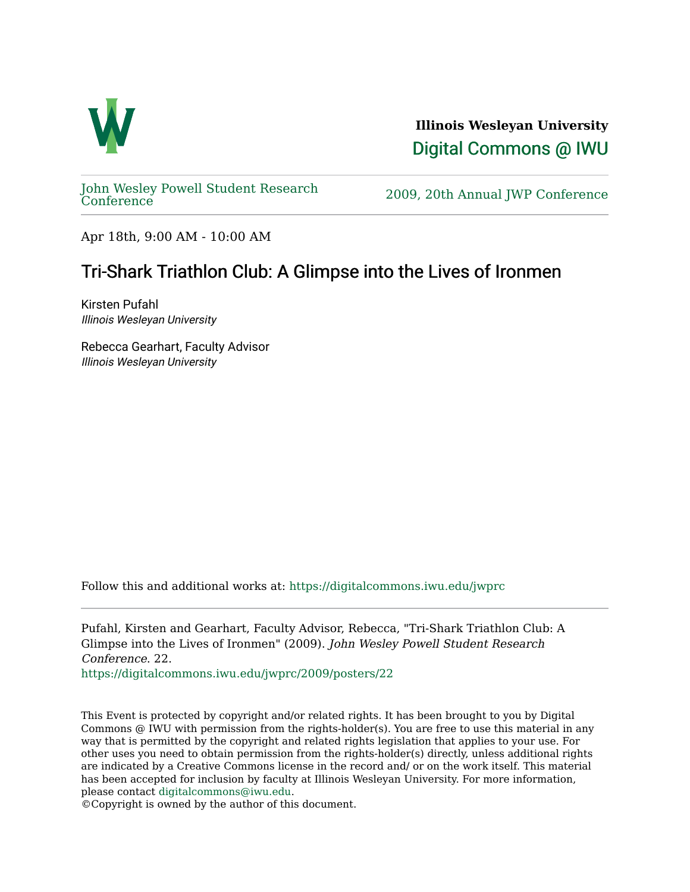

**Illinois Wesleyan University**  [Digital Commons @ IWU](https://digitalcommons.iwu.edu/) 

[John Wesley Powell Student Research](https://digitalcommons.iwu.edu/jwprc) 

2009, 20th Annual JWP [Conference](https://digitalcommons.iwu.edu/jwprc)

Apr 18th, 9:00 AM - 10:00 AM

## Tri-Shark Triathlon Club: A Glimpse into the Lives of Ironmen

Kirsten Pufahl Illinois Wesleyan University

Rebecca Gearhart, Faculty Advisor Illinois Wesleyan University

Follow this and additional works at: [https://digitalcommons.iwu.edu/jwprc](https://digitalcommons.iwu.edu/jwprc?utm_source=digitalcommons.iwu.edu%2Fjwprc%2F2009%2Fposters%2F22&utm_medium=PDF&utm_campaign=PDFCoverPages) 

Pufahl, Kirsten and Gearhart, Faculty Advisor, Rebecca, "Tri-Shark Triathlon Club: A Glimpse into the Lives of Ironmen" (2009). John Wesley Powell Student Research Conference. 22.

[https://digitalcommons.iwu.edu/jwprc/2009/posters/22](https://digitalcommons.iwu.edu/jwprc/2009/posters/22?utm_source=digitalcommons.iwu.edu%2Fjwprc%2F2009%2Fposters%2F22&utm_medium=PDF&utm_campaign=PDFCoverPages)

This Event is protected by copyright and/or related rights. It has been brought to you by Digital Commons @ IWU with permission from the rights-holder(s). You are free to use this material in any way that is permitted by the copyright and related rights legislation that applies to your use. For other uses you need to obtain permission from the rights-holder(s) directly, unless additional rights are indicated by a Creative Commons license in the record and/ or on the work itself. This material has been accepted for inclusion by faculty at Illinois Wesleyan University. For more information, please contact [digitalcommons@iwu.edu.](mailto:digitalcommons@iwu.edu)

©Copyright is owned by the author of this document.